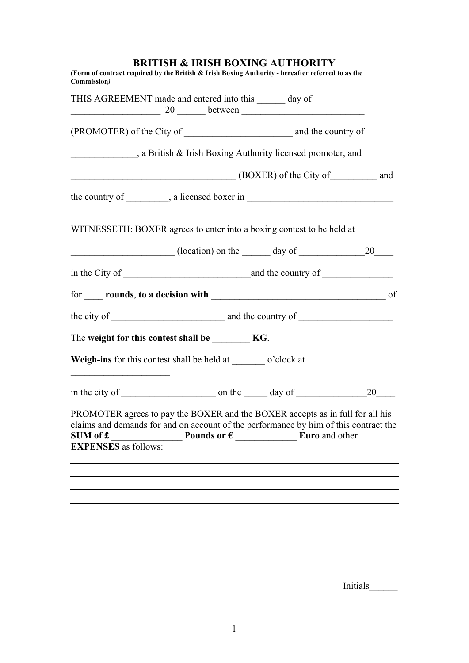## **BRITISH & IRISH BOXING AUTHORITY**

| THIS AGREEMENT made and entered into this ______ day of<br>$\frac{20}{\sqrt{100}}$ between $\frac{20}{\sqrt{100}}$                                                                                                                                                                                      |  |  |
|---------------------------------------------------------------------------------------------------------------------------------------------------------------------------------------------------------------------------------------------------------------------------------------------------------|--|--|
|                                                                                                                                                                                                                                                                                                         |  |  |
| a British & Irish Boxing Authority licensed promoter, and                                                                                                                                                                                                                                               |  |  |
| (BOXER) of the City of <b>Example 2</b> (BOXER) of the City of                                                                                                                                                                                                                                          |  |  |
|                                                                                                                                                                                                                                                                                                         |  |  |
| WITNESSETH: BOXER agrees to enter into a boxing contest to be held at                                                                                                                                                                                                                                   |  |  |
| $\frac{\phantom{+}}{20}$ (location) on the $\phantom{+}\frac{\phantom{+}}{20}$ day of $\phantom{+}\frac{20}{\phantom{+}}$                                                                                                                                                                               |  |  |
|                                                                                                                                                                                                                                                                                                         |  |  |
|                                                                                                                                                                                                                                                                                                         |  |  |
|                                                                                                                                                                                                                                                                                                         |  |  |
| The weight for this contest shall be _________ KG.                                                                                                                                                                                                                                                      |  |  |
| Weigh-ins for this contest shall be held at ________ o'clock at<br><u> 1940 - Johann John Harry Harry Harry Harry Harry Harry Harry Harry Harry Harry Harry Harry Harry Harry Harry Harry Harry Harry Harry Harry Harry Harry Harry Harry Harry Harry Harry Harry Harry Harry Harry Harry Harry Har</u> |  |  |
|                                                                                                                                                                                                                                                                                                         |  |  |
| PROMOTER agrees to pay the BOXER and the BOXER accepts as in full for all his<br>claims and demands for and on account of the performance by him of this contract the<br>SUM of £                                                                                                                       |  |  |
| <b>EXPENSES</b> as follows:                                                                                                                                                                                                                                                                             |  |  |

Initials\_\_\_\_\_\_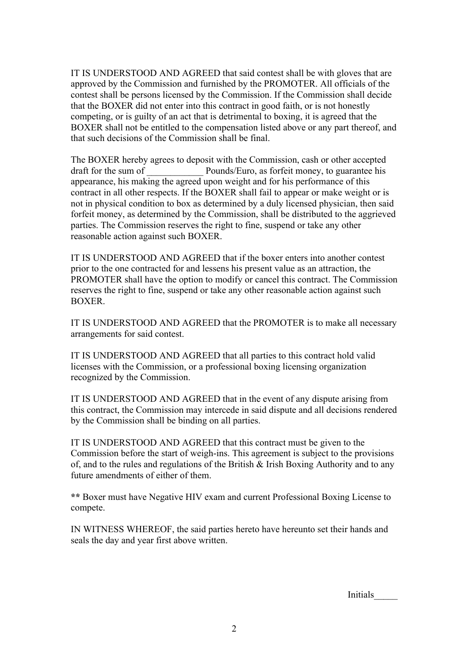IT IS UNDERSTOOD AND AGREED that said contest shall be with gloves that are approved by the Commission and furnished by the PROMOTER. All officials of the contest shall be persons licensed by the Commission. If the Commission shall decide that the BOXER did not enter into this contract in good faith, or is not honestly competing, or is guilty of an act that is detrimental to boxing, it is agreed that the BOXER shall not be entitled to the compensation listed above or any part thereof, and that such decisions of the Commission shall be final.

The BOXER hereby agrees to deposit with the Commission, cash or other accepted draft for the sum of Pounds/Euro, as forfeit money, to guarantee his appearance, his making the agreed upon weight and for his performance of this contract in all other respects. If the BOXER shall fail to appear or make weight or is not in physical condition to box as determined by a duly licensed physician, then said forfeit money, as determined by the Commission, shall be distributed to the aggrieved parties. The Commission reserves the right to fine, suspend or take any other reasonable action against such BOXER.

IT IS UNDERSTOOD AND AGREED that if the boxer enters into another contest prior to the one contracted for and lessens his present value as an attraction, the PROMOTER shall have the option to modify or cancel this contract. The Commission reserves the right to fine, suspend or take any other reasonable action against such **BOXER** 

IT IS UNDERSTOOD AND AGREED that the PROMOTER is to make all necessary arrangements for said contest.

IT IS UNDERSTOOD AND AGREED that all parties to this contract hold valid licenses with the Commission, or a professional boxing licensing organization recognized by the Commission.

IT IS UNDERSTOOD AND AGREED that in the event of any dispute arising from this contract, the Commission may intercede in said dispute and all decisions rendered by the Commission shall be binding on all parties.

IT IS UNDERSTOOD AND AGREED that this contract must be given to the Commission before the start of weigh-ins. This agreement is subject to the provisions of, and to the rules and regulations of the British & Irish Boxing Authority and to any future amendments of either of them.

**\*\*** Boxer must have Negative HIV exam and current Professional Boxing License to compete.

IN WITNESS WHEREOF, the said parties hereto have hereunto set their hands and seals the day and year first above written.

Initials\_\_\_\_\_